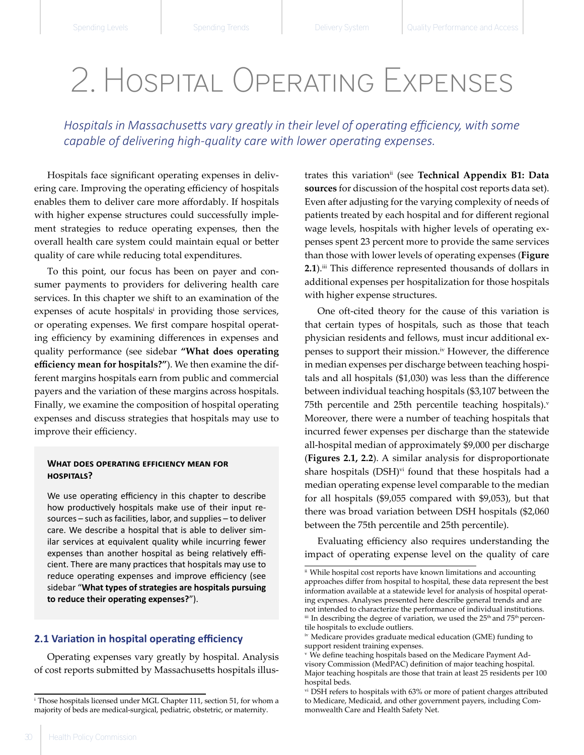# 2. Hospital Operating Expenses

*Hospitals in Massachusetts vary greatly in their level of operating efficiency, with some capable of delivering high-quality care with lower operating expenses.*

Hospitals face significant operating expenses in delivering care. Improving the operating efficiency of hospitals enables them to deliver care more affordably. If hospitals with higher expense structures could successfully implement strategies to reduce operating expenses, then the overall health care system could maintain equal or better quality of care while reducing total expenditures.

To this point, our focus has been on payer and consumer payments to providers for delivering health care services. In this chapter we shift to an examination of the expenses of acute hospitals<sup>i</sup> in providing those services, or operating expenses. We first compare hospital operating efficiency by examining differences in expenses and quality performance (see sidebar **"What does operating efficiency mean for hospitals?"**). We then examine the different margins hospitals earn from public and commercial payers and the variation of these margins across hospitals. Finally, we examine the composition of hospital operating expenses and discuss strategies that hospitals may use to improve their efficiency.

## **What does operating efficiency mean for hospitals?**

We use operating efficiency in this chapter to describe how productively hospitals make use of their input resources – such as facilities, labor, and supplies – to deliver care. We describe a hospital that is able to deliver similar services at equivalent quality while incurring fewer expenses than another hospital as being relatively efficient. There are many practices that hospitals may use to reduce operating expenses and improve efficiency (see sidebar "**What types of strategies are hospitals pursuing to reduce their operating expenses?**").

# **2.1 Variation in hospital operating efficiency**

Operating expenses vary greatly by hospital. Analysis of cost reports submitted by Massachusetts hospitals illus-

trates this variationii (see **Technical Appendix B1: Data sources** for discussion of the hospital cost reports data set). Even after adjusting for the varying complexity of needs of patients treated by each hospital and for different regional wage levels, hospitals with higher levels of operating expenses spent 23 percent more to provide the same services than those with lower levels of operating expenses (**Figure 2.1**).<sup>iii</sup> This difference represented thousands of dollars in additional expenses per hospitalization for those hospitals with higher expense structures.

One oft-cited theory for the cause of this variation is that certain types of hospitals, such as those that teach physician residents and fellows, must incur additional expenses to support their mission.iv However, the difference in median expenses per discharge between teaching hospitals and all hospitals (\$1,030) was less than the difference between individual teaching hospitals (\$3,107 between the 75th percentile and 25th percentile teaching hospitals). $v$ Moreover, there were a number of teaching hospitals that incurred fewer expenses per discharge than the statewide all-hospital median of approximately \$9,000 per discharge (**Figures 2.1, 2.2**). A similar analysis for disproportionate share hospitals (DSH)<sup>vi</sup> found that these hospitals had a median operating expense level comparable to the median for all hospitals (\$9,055 compared with \$9,053), but that there was broad variation between DSH hospitals (\$2,060 between the 75th percentile and 25th percentile).

Evaluating efficiency also requires understanding the impact of operating expense level on the quality of care

i   Those hospitals licensed under MGL Chapter 111, section 51, for whom a majority of beds are medical-surgical, pediatric, obstetric, or maternity.

ii  While hospital cost reports have known limitations and accounting approaches differ from hospital to hospital, these data represent the best information available at a statewide level for analysis of hospital operating expenses. Analyses presented here describe general trends and are not intended to characterize the performance of individual institutions. iii In describing the degree of variation, we used the 25<sup>th</sup> and 75<sup>th</sup> percentile hospitals to exclude outliers.

iv  Medicare provides graduate medical education (GME) funding to support resident training expenses.

v   We define teaching hospitals based on the Medicare Payment Advisory Commission (MedPAC) definition of major teaching hospital. Major teaching hospitals are those that train at least 25 residents per 100 hospital beds.

vi  DSH refers to hospitals with 63% or more of patient charges attributed to Medicare, Medicaid, and other government payers, including Commonwealth Care and Health Safety Net.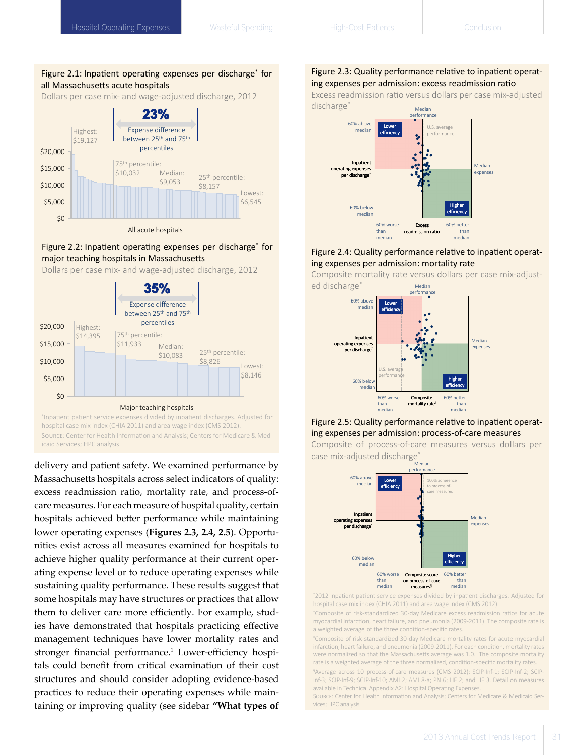# Figure 2.1: Inpatient operating expenses per discharge\* for all Massachusetts acute hospitals

Dollars per case mix- and wage-adjusted discharge, 2012



# Figure 2.2: Inpatient operating expenses per discharge\* for major teaching hospitals in Massachusetts

Dollars per case mix- and wage-adjusted discharge, 2012



\* Inpatient patient service expenses divided by inpatient discharges. Adjusted for hospital case mix index (CHIA 2011) and area wage index (CMS 2012). Source: Center for Health Information and Analysis; Centers for Medicare & Medicaid Services; HPC analysis \*Inpatient patient service expenses divided by inpatient discharges. Adjusted for hospital casemix index (CHIA 2011) and area wage index (CMS 2012).

delivery and patient safety. We examined performance by Massachusetts hospitals across select indicators of quality: excess readmission ratio, mortality rate, and process-ofcare measures. For each measure of hospital quality, certain hospitals achieved better performance while maintaining lower operating expenses (**Figures 2.3, 2.4, 2.5**). Opportunities exist across all measures examined for hospitals to achieve higher quality performance at their current operating expense level or to reduce operating expenses while sustaining quality performance. These results suggest that some hospitals may have structures or practices that allow them to deliver care more efficiently. For example, studies have demonstrated that hospitals practicing effective management techniques have lower mortality rates and stronger financial performance.<sup>1</sup> Lower-efficiency hospitals could benefit from critical examination of their cost structures and should consider adopting evidence-based practices to reduce their operating expenses while maintaining or improving quality (see sidebar **"What types of** 

# Figure 2.3: Quality performance relative to inpatient operating expenses per admission: excess readmission ratio

Median Excess readmission ratio versus dollars per case mix-adjusted discharge\*



# Figure 2.4: Quality performance relative to inpatient operating expenses per admission: mortality rate

Composite mortality rate versus dollars per case mix-adjusted discharge<sup>\*</sup> and Analysis Median Median



# Figure 2.5: Quality performance relative to inpatient operating expenses per admission: process-of-care measures



Composite of process-of-care measures versus dollars per case mix-adjusted discharge<sup>\*</sup>

\* 2012 inpatient patient service expenses divided by inpatient discharges. Adjusted for hospital case mix index (CHIA 2011) and area wage index (CMS 2012).

myocardial infarction, heart failure, and pneumonia (2009-2011). The composite rate is a weighted average of the three condition-specific rates. † Composite of risk-standardized 30-day Medicare excess readmission ratios for acute

‡ Composite of risk-standardized 30-day Medicare mortality rates for acute myocardial infarction, heart failure, and pneumonia (2009-2011). For each condition, mortality rates were normalized so that the Massachusetts average was 1.0. The composite mortality rate is a weighted average of the three normalized, condition-specific mortality rates.

§ Average across 10 process-of-care measures (CMS 2012): SCIP-Inf-1; SCIP-Inf-2; SCIP-Inf-3; SCIP-Inf-9; SCIP-Inf-10; AMI 2; AMI 8-a; PN 6; HF 2; and HF 3. Detail on measures available in Technical Appendix A2: Hospital Operating Expenses.

Source: Center for Health Information and Analysis; Centers for Medicare & Medicaid Services; HPC analysis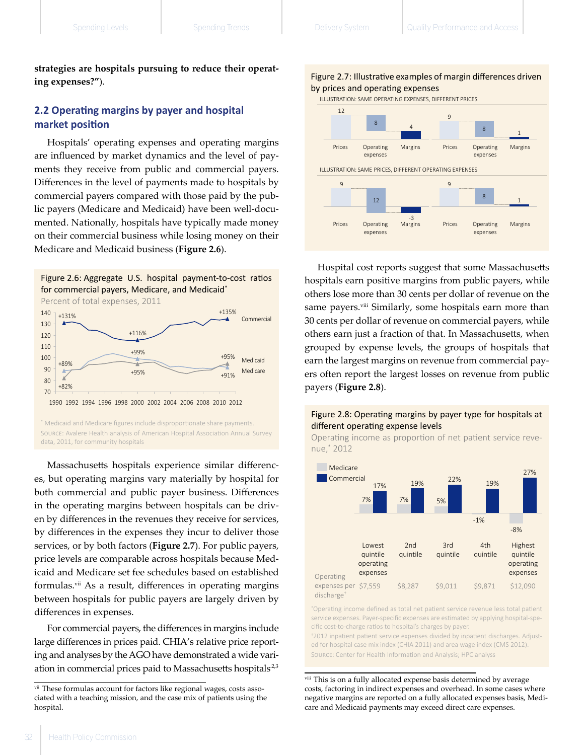**strategies are hospitals pursuing to reduce their operating expenses?"**).

# **2.2 Operating margins by payer and hospital market position**

Hospitals' operating expenses and operating margins are influenced by market dynamics and the level of payments they receive from public and commercial payers. Differences in the level of payments made to hospitals by commercial payers compared with those paid by the public payers (Medicare and Medicaid) have been well-documented. Nationally, hospitals have typically made money on their commercial business while losing money on their Medicare and Medicaid business (**Figure 2.6**).







\* Medicaid and Medicare figures include disproportionate share payments. Source: Avalere Health analysis of American Hospital Association Annual Survey data, 2011, for community hospitals

Massachusetts hospitals experience similar differences, but operating margins vary materially by hospital for both commercial and public payer business. Differences in the operating margins between hospitals can be driven by differences in the revenues they receive for services, by differences in the expenses they incur to deliver those services, or by both factors (**Figure 2.7**). For public payers, price levels are comparable across hospitals because Medicaid and Medicare set fee schedules based on established formulas.<sup>vii</sup> As a result, differences in operating margins between hospitals for public payers are largely driven by differences in expenses.

For commercial payers, the differences in margins include large differences in prices paid. CHIA's relative price reporting and analyses by the AGO have demonstrated a wide variation in commercial prices paid to Massachusetts hospitals<sup>2,3</sup>



ILLUSTRATION: SAME OPERATING EXPENSES, DIFFERENT PRICES



Hospital cost reports suggest that some Massachusetts hospitals earn positive margins from public payers, while others lose more than 30 cents per dollar of revenue on the same payers.<sup>viii</sup> Similarly, some hospitals earn more than 30 cents per dollar of revenue on commercial payers, while others earn just a fraction of that. In Massachusetts, when grouped by expense levels, the groups of hospitals that earn the largest margins on revenue from commercial payers often report the largest losses on revenue from public payers (**Figure 2.8**).  $\alpha$ 



Operating income as proportion of net patient service revenue,\* 2012



\* Operating income defined as total net patient service revenue less total patient service expenses. Payer-specific expenses are estimated by applying hospital-specific cost-to-charge ratios to hospital's charges by payer.

\*2012 inpatient patient service expenses divided by inpatient discharges. Adjusted for hospital case mix index (CHIA 2011) and area wage index (CMS 2012). Source: Center for Health Information and Analysis; HPC analyss

viii  This is on a fully allocated expense basis determined by average costs, factoring in indirect expenses and overhead. In some cases where negative margins are reported on a fully allocated expenses basis, Medicare and Medicaid payments may exceed direct care expenses.

vii  These formulas account for factors like regional wages, costs associated with a teaching mission, and the case mix of patients using the hospital.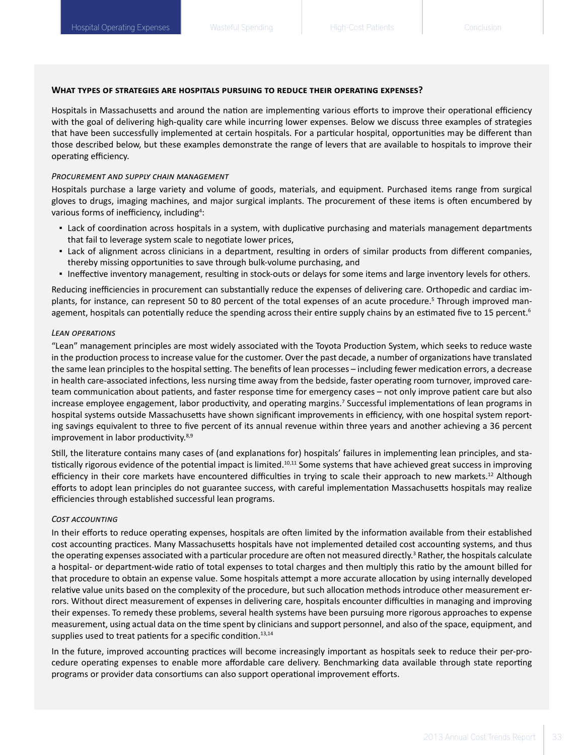# **What types of strategies are hospitals pursuing to reduce their operating expenses?**

Hospitals in Massachusetts and around the nation are implementing various efforts to improve their operational efficiency with the goal of delivering high-quality care while incurring lower expenses. Below we discuss three examples of strategies that have been successfully implemented at certain hospitals. For a particular hospital, opportunities may be different than those described below, but these examples demonstrate the range of levers that are available to hospitals to improve their operating efficiency.

# *Procurement and supply chain management*

Hospitals purchase a large variety and volume of goods, materials, and equipment. Purchased items range from surgical gloves to drugs, imaging machines, and major surgical implants. The procurement of these items is often encumbered by various forms of inefficiency, including<sup>4</sup>:

- Lack of coordination across hospitals in a system, with duplicative purchasing and materials management departments that fail to leverage system scale to negotiate lower prices,
- Lack of alignment across clinicians in a department, resulting in orders of similar products from different companies, thereby missing opportunities to save through bulk-volume purchasing, and
- Ineffective inventory management, resulting in stock-outs or delays for some items and large inventory levels for others.

Reducing inefficiencies in procurement can substantially reduce the expenses of delivering care. Orthopedic and cardiac implants, for instance, can represent 50 to 80 percent of the total expenses of an acute procedure.<sup>5</sup> Through improved management, hospitals can potentially reduce the spending across their entire supply chains by an estimated five to 15 percent.<sup>6</sup>

#### *Lean operations*

"Lean" management principles are most widely associated with the Toyota Production System, which seeks to reduce waste in the production process to increase value for the customer. Over the past decade, a number of organizations have translated the same lean principles to the hospital setting. The benefits of lean processes – including fewer medication errors, a decrease in health care-associated infections, less nursing time away from the bedside, faster operating room turnover, improved careteam communication about patients, and faster response time for emergency cases – not only improve patient care but also increase employee engagement, labor productivity, and operating margins.7 Successful implementations of lean programs in hospital systems outside Massachusetts have shown significant improvements in efficiency, with one hospital system reporting savings equivalent to three to five percent of its annual revenue within three years and another achieving a 36 percent improvement in labor productivity.<sup>8,9</sup>

Still, the literature contains many cases of (and explanations for) hospitals' failures in implementing lean principles, and statistically rigorous evidence of the potential impact is limited.<sup>10,11</sup> Some systems that have achieved great success in improving efficiency in their core markets have encountered difficulties in trying to scale their approach to new markets.<sup>12</sup> Although efforts to adopt lean principles do not guarantee success, with careful implementation Massachusetts hospitals may realize efficiencies through established successful lean programs.

#### *Cost accounting*

In their efforts to reduce operating expenses, hospitals are often limited by the information available from their established cost accounting practices. Many Massachusetts hospitals have not implemented detailed cost accounting systems, and thus the operating expenses associated with a particular procedure are often not measured directly.<sup>3</sup> Rather, the hospitals calculate a hospital- or department-wide ratio of total expenses to total charges and then multiply this ratio by the amount billed for that procedure to obtain an expense value. Some hospitals attempt a more accurate allocation by using internally developed relative value units based on the complexity of the procedure, but such allocation methods introduce other measurement errors. Without direct measurement of expenses in delivering care, hospitals encounter difficulties in managing and improving their expenses. To remedy these problems, several health systems have been pursuing more rigorous approaches to expense measurement, using actual data on the time spent by clinicians and support personnel, and also of the space, equipment, and supplies used to treat patients for a specific condition. $13,14$ 

In the future, improved accounting practices will become increasingly important as hospitals seek to reduce their per-procedure operating expenses to enable more affordable care delivery. Benchmarking data available through state reporting programs or provider data consortiums can also support operational improvement efforts.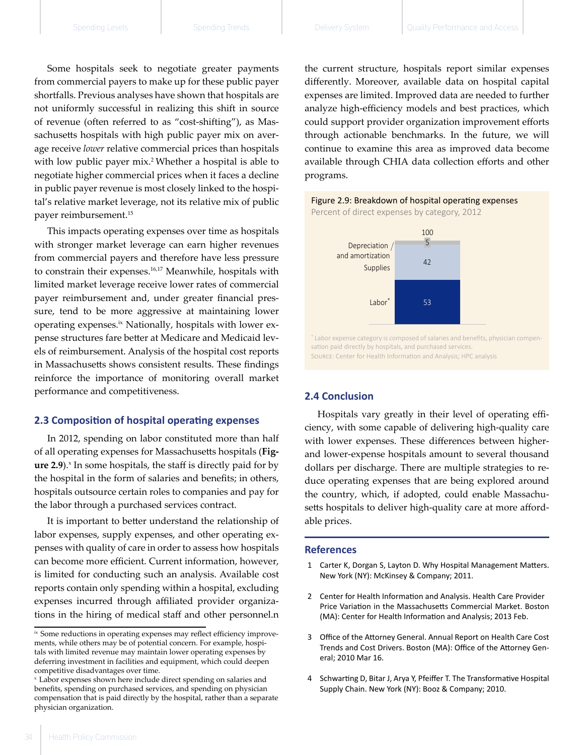Some hospitals seek to negotiate greater payments from commercial payers to make up for these public payer shortfalls. Previous analyses have shown that hospitals are not uniformly successful in realizing this shift in source of revenue (often referred to as "cost-shifting"), as Massachusetts hospitals with high public payer mix on average receive *lower* relative commercial prices than hospitals with low public payer mix.<sup>2</sup> Whether a hospital is able to negotiate higher commercial prices when it faces a decline in public payer revenue is most closely linked to the hospital's relative market leverage, not its relative mix of public payer reimbursement.15

This impacts operating expenses over time as hospitals with stronger market leverage can earn higher revenues from commercial payers and therefore have less pressure to constrain their expenses.<sup>16,17</sup> Meanwhile, hospitals with limited market leverage receive lower rates of commercial payer reimbursement and, under greater financial pressure, tend to be more aggressive at maintaining lower operating expenses.<sup>ix</sup> Nationally, hospitals with lower expense structures fare better at Medicare and Medicaid levels of reimbursement. Analysis of the hospital cost reports in Massachusetts shows consistent results. These findings reinforce the importance of monitoring overall market performance and competitiveness.

# **2.3 Composition of hospital operating expenses**

In 2012, spending on labor constituted more than half of all operating expenses for Massachusetts hospitals (**Fig**ure 2.9).<sup>x</sup> In some hospitals, the staff is directly paid for by the hospital in the form of salaries and benefits; in others, hospitals outsource certain roles to companies and pay for the labor through a purchased services contract.

It is important to better understand the relationship of labor expenses, supply expenses, and other operating expenses with quality of care in order to assess how hospitals can become more efficient. Current information, however, is limited for conducting such an analysis. Available cost reports contain only spending within a hospital, excluding expenses incurred through affiliated provider organizations in the hiring of medical staff and other personnel.n

the current structure, hospitals report similar expenses differently. Moreover, available data on hospital capital expenses are limited. Improved data are needed to further analyze high-efficiency models and best practices, which could support provider organization improvement efforts through actionable benchmarks. In the future, we will continue to examine this area as improved data become available through CHIA data collection efforts and other programs.





Source: Center for Health Information and Analysis; HPC analysis

# **2.4 Conclusion**

Hospitals vary greatly in their level of operating efficiency, with some capable of delivering high-quality care with lower expenses. These differences between higherand lower-expense hospitals amount to several thousand dollars per discharge. There are multiple strategies to reduce operating expenses that are being explored around the country, which, if adopted, could enable Massachusetts hospitals to deliver high-quality care at more affordable prices.

### **References**

- 1  Carter K, Dorgan S, Layton D. Why Hospital Management Matters. New York (NY): McKinsey & Company; 2011.
- 2  Center for Health Information and Analysis. Health Care Provider Price Variation in the Massachusetts Commercial Market. Boston (MA): Center for Health Information and Analysis; 2013 Feb.
- 3  Office of the Attorney General. Annual Report on Health Care Cost Trends and Cost Drivers. Boston (MA): Office of the Attorney General; 2010 Mar 16.
- 4  Schwarting D, Bitar J, Arya Y, Pfeiffer T. The Transformative Hospital Supply Chain. New York (NY): Booz & Company; 2010.

<sup>&</sup>lt;sup>ix</sup> Some reductions in operating expenses may reflect efficiency improvements, while others may be of potential concern. For example, hospitals with limited revenue may maintain lower operating expenses by deferring investment in facilities and equipment, which could deepen competitive disadvantages over time.

x   Labor expenses shown here include direct spending on salaries and benefits, spending on purchased services, and spending on physician compensation that is paid directly by the hospital, rather than a separate physician organization.